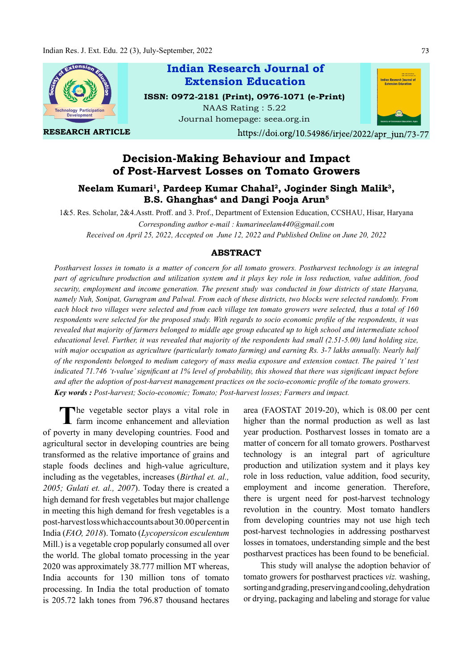

# Decision-Making Behaviour and Impact of Post-Harvest Losses on Tomato Growers

## Neelam Kumari<sup>1</sup>, Pardeep Kumar Chahal<sup>2</sup>, Joginder Singh Malik<sup>3</sup>,<br>B.S. Ghanghas<sup>4</sup> and Dangi Pooja Arun<sup>5</sup> B.S. Ghanghas<sup>4</sup> and Dangi Pooja Arun<sup>5</sup>

1&5. Res. Scholar, 2&4.Asstt. Proff . and 3. Prof., Department of Extension Education, CCSHAU, Hisar, Haryana Corresponding author e-mail : kumarineelam440@gmail.com

Received on April 25, 2022, Accepted on June 12, 2022 and Published Online on June 20, 2022

### ABSTRACT

Postharvest losses in tomato is a matter of concern for all tomato growers. Postharvest technology is an integral part of agriculture production and utilization system and it plays key role in loss reduction, value addition, food security, employment and income generation. The present study was conducted in four districts of state Haryana, namely Nuh, Sonipat, Gurugram and Palwal. From each of these districts, two blocks were selected randomly. From each block two villages were selected and from each village ten tomato growers were selected, thus a total of 160 respondents were selected for the proposed study. With regards to socio economic profile of the respondents, it was revealed that majority of farmers belonged to middle age group educated up to high school and intermediate school educational level. Further, it was revealed that majority of the respondents had small (2.51-5.00) land holding size, with major occupation as agriculture (particularly tomato farming) and earning Rs. 3-7 lakhs annually. Nearly half of the respondents belonged to medium category of mass media exposure and extension contact. The paired 't' test indicated 71.746 't-value' significant at 1% level of probability, this showed that there was significant impact before and after the adoption of post-harvest management practices on the socio-economic profile of the tomato growers. Key words : Post-harvest; Socio-economic; Tomato; Post-harvest losses; Farmers and impact.

The vegetable sector plays a vital role in farm income enhancement and alleviation he vegetable sector plays a vital role in of poverty in many developing countries. Food and agricultural sector in developing countries are being transformed as the relative importance of grains and staple foods declines and high-value agriculture, including as the vegetables, increases (Birthal et. al., 2005; Gulati et. al., 2007). Today there is created a high demand for fresh vegetables but major challenge in meeting this high demand for fresh vegetables is a post-harvest loss which accounts about 30.00 per cent in India (FAO, 2018). Tomato (Lycopersicon esculentum Mill.) is a vegetable crop popularly consumed all over the world. The global tomato processing in the year 2020 was approximately 38.777 million MT whereas, India accounts for 130 million tons of tomato processing. In India the total production of tomato is 205.72 lakh tones from 796.87 thousand hectares

area (FAOSTAT 2019-20), which is 08.00 per cent higher than the normal production as well as last year production. Postharvest losses in tomato are a matter of concern for all tomato growers. Postharvest technology is an integral part of agriculture production and utilization system and it plays key role in loss reduction, value addition, food security, employment and income generation. Therefore, there is urgent need for post-harvest technology revolution in the country. Most tomato handlers from developing countries may not use high tech post-harvest technologies in addressing postharvest losses in tomatoes, understanding simple and the best postharvest practices has been found to be beneficial.

This study will analyse the adoption behavior of tomato growers for postharvest practices viz. washing, sorting and grading, preserving and cooling, dehydration or drying, packaging and labeling and storage for value

73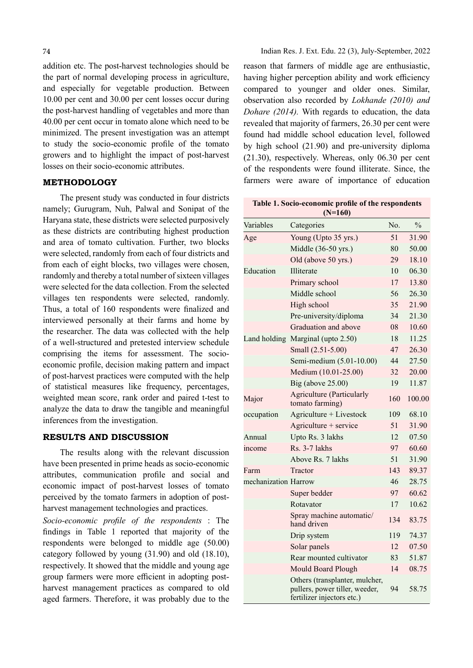addition etc. The post-harvest technologies should be the part of normal developing process in agriculture, and especially for vegetable production. Between 10.00 per cent and 30.00 per cent losses occur during the post-harvest handling of vegetables and more than 40.00 per cent occur in tomato alone which need to be minimized. The present investigation was an attempt to study the socio-economic profile of the tomato growers and to highlight the impact of post-harvest losses on their socio-economic attributes.

## METHODOLOGY

The present study was conducted in four districts namely; Gurugram, Nuh, Palwal and Sonipat of the Haryana state, these districts were selected purposively as these districts are contributing highest production and area of tomato cultivation. Further, two blocks were selected, randomly from each of four districts and from each of eight blocks, two villages were chosen, randomly and thereby a total number of sixteen villages were selected for the data collection. From the selected villages ten respondents were selected, randomly. Thus, a total of 160 respondents were finalized and interviewed personally at their farms and home by the researcher. The data was collected with the help of a well-structured and pretested interview schedule comprising the items for assessment. The socioeconomic profile, decision making pattern and impact of post-harvest practices were computed with the help of statistical measures like frequency, percentages, weighted mean score, rank order and paired t-test to analyze the data to draw the tangible and meaningful inferences from the investigation.

## RESULTS AND DISCUSSION

The results along with the relevant discussion have been presented in prime heads as socio-economic attributes, communication profile and social and economic impact of post-harvest losses of tomato perceived by the tomato farmers in adoption of postharvest management technologies and practices.

Socio-economic profile of the respondents : The findings in Table 1 reported that majority of the respondents were belonged to middle age (50.00) category followed by young (31.90) and old (18.10), respectively. It showed that the middle and young age group farmers were more efficient in adopting postharvest management practices as compared to old aged farmers. Therefore, it was probably due to the reason that farmers of middle age are enthusiastic, having higher perception ability and work efficiency compared to younger and older ones. Similar, observation also recorded by Lokhande (2010) and Dohare (2014). With regards to education, the data revealed that majority of farmers, 26.30 per cent were found had middle school education level, followed by high school (21.90) and pre-university diploma (21.30), respectively. Whereas, only 06.30 per cent of the respondents were found illiterate. Since, the farmers were aware of importance of education

|                      | $(N=160)$                                                                                      |                  |               |
|----------------------|------------------------------------------------------------------------------------------------|------------------|---------------|
| Variables            | Categories                                                                                     | N <sub>0</sub> . | $\frac{0}{0}$ |
| Age                  | Young (Upto 35 yrs.)                                                                           | 51               | 31.90         |
|                      | Middle (36-50 yrs.)                                                                            | 80               | 50.00         |
|                      | Old (above 50 yrs.)                                                                            | 29               | 18.10         |
| Education            | Illiterate                                                                                     | 10               | 06.30         |
|                      | Primary school                                                                                 | 17               | 13.80         |
|                      | Middle school                                                                                  | 56               | 26.30         |
|                      | High school                                                                                    | 35               | 21.90         |
|                      | Pre-university/diploma                                                                         | 34               | 21.30         |
|                      | Graduation and above                                                                           | 08               | 10.60         |
| Land holding         | Marginal (upto 2.50)                                                                           | 18               | 11.25         |
|                      | Small (2.51-5.00)                                                                              | 47               | 26.30         |
|                      | Semi-medium (5.01-10.00)                                                                       | 44               | 27.50         |
|                      | Medium (10.01-25.00)                                                                           | 32               | 20.00         |
|                      | Big (above 25.00)                                                                              | 19               | 11.87         |
| Major                | <b>Agriculture (Particularly</b><br>tomato farming)                                            | 160              | 100.00        |
| occupation           | Agriculture + Livestock                                                                        | 109              | 68.10         |
|                      | Agriculture + service                                                                          | 51               | 31.90         |
| Annual               | Upto Rs. 3 lakhs                                                                               | 12               | 07.50         |
| income               | $Rs. 3-7$ lakhs                                                                                | 97               | 60.60         |
|                      | Above Rs. 7 lakhs                                                                              | 51               | 31.90         |
| Farm                 | Tractor                                                                                        | 143              | 89.37         |
| mechanization Harrow |                                                                                                | 46               | 28.75         |
|                      | Super bedder                                                                                   | 97               | 60.62         |
|                      | Rotavator                                                                                      | 17               | 10.62         |
|                      | Spray machine automatic/<br>hand driven                                                        | 134              | 83.75         |
|                      | Drip system                                                                                    | 119              | 74.37         |
|                      | Solar panels                                                                                   | 12               | 07.50         |
|                      | Rear mounted cultivator                                                                        | 83               | 51.87         |
|                      | Mould Board Plough                                                                             | 14               | 08.75         |
|                      | Others (transplanter, mulcher,<br>pullers, power tiller, weeder,<br>fertilizer injectors etc.) | 94               | 58.75         |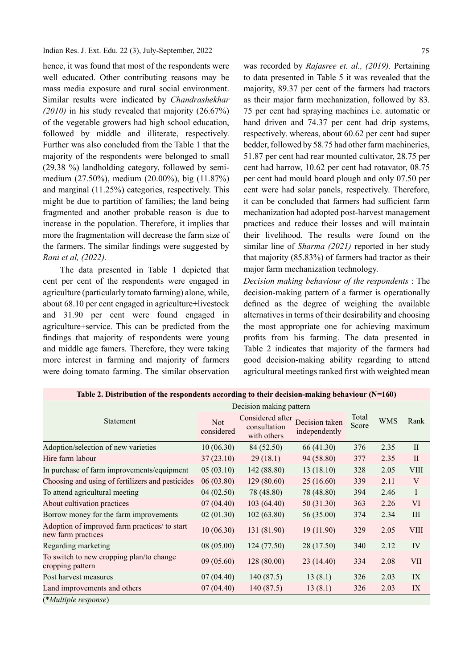Indian Res. J. Ext. Edu. 22 (3), July-September, 2022

hence, it was found that most of the respondents were well educated. Other contributing reasons may be mass media exposure and rural social environment. Similar results were indicated by Chandrashekhar (2010) in his study revealed that majority (26.67%) of the vegetable growers had high school education, followed by middle and illiterate, respectively. Further was also concluded from the Table 1 that the majority of the respondents were belonged to small (29.38 %) landholding category, followed by semimedium (27.50%), medium (20.00%), big (11.87%) and marginal (11.25%) categories, respectively. This might be due to partition of families; the land being fragmented and another probable reason is due to increase in the population. Therefore, it implies that more the fragmentation will decrease the farm size of the farmers. The similar findings were suggested by Rani et al, (2022).

The data presented in Table 1 depicted that cent per cent of the respondents were engaged in agriculture (particularly tomato farming) alone, while, about 68.10 per cent engaged in agriculture+livestock and 31.90 per cent were found engaged in agriculture+service. This can be predicted from the findings that majority of respondents were young and middle age famers. Therefore, they were taking more interest in farming and majority of farmers were doing tomato farming. The similar observation

was recorded by Rajasree et. al., (2019). Pertaining to data presented in Table 5 it was revealed that the majority, 89.37 per cent of the farmers had tractors as their major farm mechanization, followed by 83. 75 per cent had spraying machines i.e. automatic or hand driven and 74.37 per cent had drip systems, respectively. whereas, about 60.62 per cent had super bedder, followed by 58.75 had other farm machineries, 51.87 per cent had rear mounted cultivator, 28.75 per cent had harrow, 10.62 per cent had rotavator, 08.75 per cent had mould board plough and only 07.50 per cent were had solar panels, respectively. Therefore, it can be concluded that farmers had sufficient farm mechanization had adopted post-harvest management practices and reduce their losses and will maintain their livelihood. The results were found on the similar line of Sharma (2021) reported in her study that majority (85.83%) of farmers had tractor as their major farm mechanization technology.

Decision making behaviour of the respondents : The decision-making pattern of a farmer is operationally defined as the degree of weighing the available alternatives in terms of their desirability and choosing the most appropriate one for achieving maximum profits from his farming. The data presented in Table 2 indicates that majority of the farmers had good decision-making ability regarding to attend agricultural meetings ranked first with weighted mean

|                                                                     | Decision making pattern  |                                                 |                                 |                |            |             |
|---------------------------------------------------------------------|--------------------------|-------------------------------------------------|---------------------------------|----------------|------------|-------------|
| Statement                                                           | <b>Not</b><br>considered | Considered after<br>consultation<br>with others | Decision taken<br>independently | Total<br>Score | <b>WMS</b> | Rank        |
| Adoption/selection of new varieties                                 | 10(06.30)                | 84 (52.50)                                      | 66 (41.30)                      | 376            | 2.35       | $\rm II$    |
| Hire farm labour                                                    | 37(23.10)                | 29(18.1)                                        | 94 (58.80)                      | 377            | 2.35       | $\rm II$    |
| In purchase of farm improvements/equipment                          | 05(03.10)                | 142 (88.80)                                     | 13(18.10)                       | 328            | 2.05       | <b>VIII</b> |
| Choosing and using of fertilizers and pesticides                    | 06(03.80)                | 129(80.60)                                      | 25(16.60)                       | 339            | 2.11       | V           |
| To attend agricultural meeting                                      | 04(02.50)                | 78 (48.80)                                      | 78 (48.80)                      | 394            | 2.46       | $\bf{I}$    |
| About cultivation practices                                         | 07(04.40)                | 103(64.40)                                      | 50(31.30)                       | 363            | 2.26       | VI          |
| Borrow money for the farm improvements                              | 02(01.30)                | 102(63.80)                                      | 56 (35.00)                      | 374            | 2.34       | Ш           |
| Adoption of improved farm practices/ to start<br>new farm practices | 10(06.30)                | 131 (81.90)                                     | 19(11.90)                       | 329            | 2.05       | <b>VIII</b> |
| Regarding marketing                                                 | 08(05.00)                | 124 (77.50)                                     | 28 (17.50)                      | 340            | 2.12       | IV          |
| To switch to new cropping plan/to change<br>cropping pattern        | 09(05.60)                | 128(80.00)                                      | 23(14.40)                       | 334            | 2.08       | <b>VII</b>  |
| Post harvest measures                                               | 07(04.40)                | 140(87.5)                                       | 13(8.1)                         | 326            | 2.03       | IX          |
| Land improvements and others                                        | 07(04.40)                | 140(87.5)                                       | 13(8.1)                         | 326            | 2.03       | IX          |
| (*Multiple response)                                                |                          |                                                 |                                 |                |            |             |

Table 2. Distribution of the respondents according to their decision-making behaviour (N=160)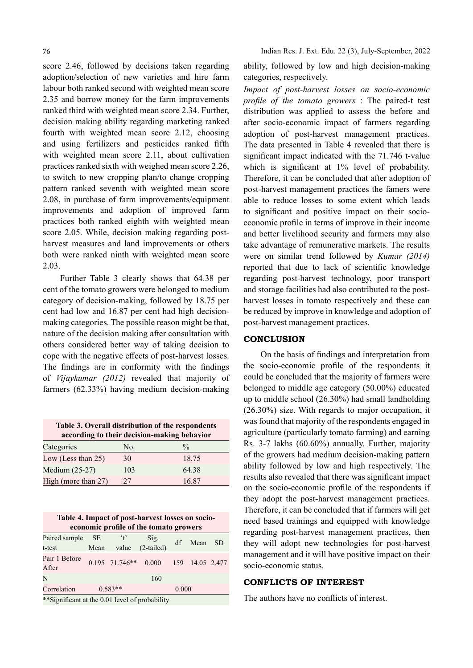score 2.46, followed by decisions taken regarding adoption/selection of new varieties and hire farm labour both ranked second with weighted mean score 2.35 and borrow money for the farm improvements ranked third with weighted mean score 2.34. Further, decision making ability regarding marketing ranked fourth with weighted mean score 2.12, choosing and using fertilizers and pesticides ranked fifth with weighted mean score 2.11, about cultivation practices ranked sixth with weighed mean score 2.26, to switch to new cropping plan/to change cropping pattern ranked seventh with weighted mean score 2.08, in purchase of farm improvements/equipment improvements and adoption of improved farm practices both ranked eighth with weighted mean score 2.05. While, decision making regarding postharvest measures and land improvements or others both were ranked ninth with weighted mean score 2.03.

Further Table 3 clearly shows that 64.38 per cent of the tomato growers were belonged to medium category of decision-making, followed by 18.75 per cent had low and 16.87 per cent had high decisionmaking categories. The possible reason might be that, nature of the decision making after consultation with others considered better way of taking decision to cope with the negative effects of post-harvest losses. The findings are in conformity with the findings of Vijaykumar (2012) revealed that majority of farmers (62.33%) having medium decision-making

Table 3. Overall distribution of the respondents according to their decision-making behavior

| Categories            | No. | $\frac{0}{0}$ |
|-----------------------|-----|---------------|
| Low (Less than $25$ ) | 30  | 18.75         |
| Medium (25-27)        | 103 | 64.38         |
| High (more than 27)   | 77  | 16.87         |

| Table 4. Impact of post-harvest losses on socio-<br>economic profile of the tomato growers |                   |                               |                      |     |             |     |  |
|--------------------------------------------------------------------------------------------|-------------------|-------------------------------|----------------------|-----|-------------|-----|--|
| Paired sample<br>t-test                                                                    | <b>SE</b><br>Mean | $\cdot$ <sub>t</sub><br>value | Sig.<br>$(2-tailed)$ | df  | Mean        | SD. |  |
| Pair 1 Before<br>After                                                                     |                   | $0.195$ 71.746**              | 0.000                | 159 | 14.05 2.477 |     |  |
| N                                                                                          |                   |                               | 160                  |     |             |     |  |
| Correlation                                                                                | $0.583**$         |                               | 0.000                |     |             |     |  |

\*\*Significant at the 0.01 level of probability

ability, followed by low and high decision-making categories, respectively.

Impact of post-harvest losses on socio-economic profile of the tomato growers : The paired-t test distribution was applied to assess the before and after socio-economic impact of farmers regarding adoption of post-harvest management practices. The data presented in Table 4 revealed that there is significant impact indicated with the 71.746 t-value which is significant at  $1\%$  level of probability. Therefore, it can be concluded that after adoption of post-harvest management practices the famers were able to reduce losses to some extent which leads to significant and positive impact on their socioeconomic profile in terms of improve in their income and better livelihood security and farmers may also take advantage of remunerative markets. The results were on similar trend followed by Kumar (2014) reported that due to lack of scientific knowledge regarding post-harvest technology, poor transport and storage facilities had also contributed to the postharvest losses in tomato respectively and these can be reduced by improve in knowledge and adoption of post-harvest management practices.

### **CONCLUSION**

On the basis of findings and interpretation from the socio-economic profile of the respondents it could be concluded that the majority of farmers were belonged to middle age category (50.00%) educated up to middle school (26.30%) had small landholding (26.30%) size. With regards to major occupation, it was found that majority of the respondents engaged in agriculture (particularly tomato farming) and earning Rs. 3-7 lakhs (60.60%) annually. Further, majority of the growers had medium decision-making pattern ability followed by low and high respectively. The results also revealed that there was significant impact on the socio-economic profile of the respondents if they adopt the post-harvest management practices. Therefore, it can be concluded that if farmers will get need based trainings and equipped with knowledge regarding post-harvest management practices, then they will adopt new technologies for post-harvest management and it will have positive impact on their socio-economic status.

## CONFLICTS OF INTEREST

The authors have no conflicts of interest.